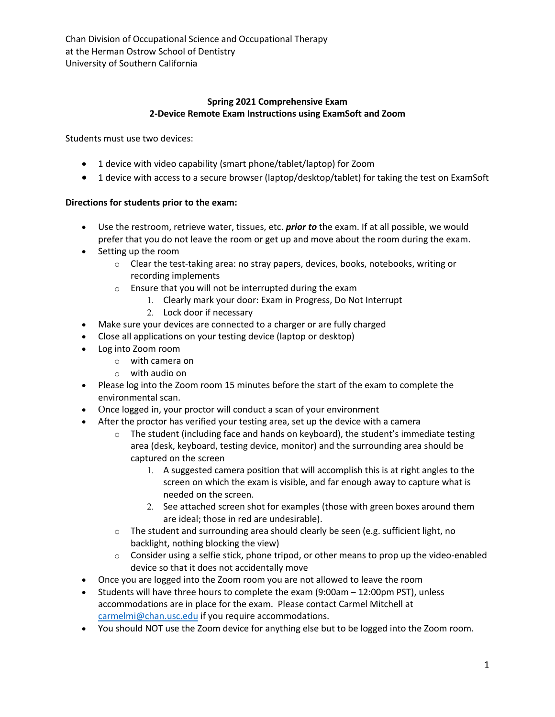Chan Division of Occupational Science and Occupational Therapy at the Herman Ostrow School of Dentistry University of Southern California

## **Spring 2021 Comprehensive Exam 2-Device Remote Exam Instructions using ExamSoft and Zoom**

Students must use two devices:

- 1 device with video capability (smart phone/tablet/laptop) for Zoom
- 1 device with access to a secure browser (laptop/desktop/tablet) for taking the test on ExamSoft

## **Directions for students prior to the exam:**

- Use the restroom, retrieve water, tissues, etc. *prior to* the exam. If at all possible, we would prefer that you do not leave the room or get up and move about the room during the exam.
- Setting up the room
	- o Clear the test-taking area: no stray papers, devices, books, notebooks, writing or recording implements
	- o Ensure that you will not be interrupted during the exam
		- 1. Clearly mark your door: Exam in Progress, Do Not Interrupt
		- 2. Lock door if necessary
- Make sure your devices are connected to a charger or are fully charged
- Close all applications on your testing device (laptop or desktop)
- Log into Zoom room
	- o with camera on
	- o with audio on
- Please log into the Zoom room 15 minutes before the start of the exam to complete the environmental scan.
- Once logged in, your proctor will conduct a scan of your environment
- After the proctor has verified your testing area, set up the device with a camera
	- $\circ$  The student (including face and hands on keyboard), the student's immediate testing area (desk, keyboard, testing device, monitor) and the surrounding area should be captured on the screen
		- 1. A suggested camera position that will accomplish this is at right angles to the screen on which the exam is visible, and far enough away to capture what is needed on the screen.
		- 2. See attached screen shot for examples (those with green boxes around them are ideal; those in red are undesirable).
	- $\circ$  The student and surrounding area should clearly be seen (e.g. sufficient light, no backlight, nothing blocking the view)
	- $\circ$  Consider using a selfie stick, phone tripod, or other means to prop up the video-enabled device so that it does not accidentally move
- Once you are logged into the Zoom room you are not allowed to leave the room
- Students will have three hours to complete the exam (9:00am 12:00pm PST), unless accommodations are in place for the exam. Please contact Carmel Mitchell at carmelmi@chan.usc.edu if you require accommodations.
- You should NOT use the Zoom device for anything else but to be logged into the Zoom room.